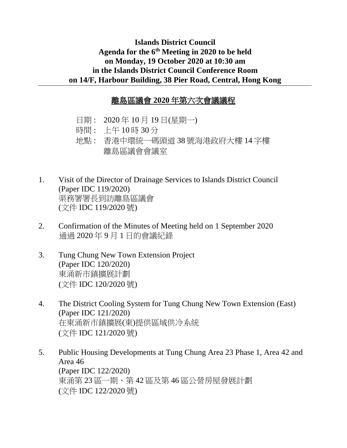## **Islands District Council Agenda for the 6th Meeting in 2020 to be held on Monday, 19 October 2020 at 10:30 am in the Islands District Council Conference Room on 14/F, Harbour Building, 38 Pier Road, Central, Hong Kong**

## 離島區議會 **2020** 年第六次會議議程

- 日期 : 2020 年 10 月 19 日(星期一)
- 時間 : 上午 10 時 30 分
- 地點 : 香港中環統一碼頭道 38 號海港政府大樓 14 字樓 離島區議會會議室
- 1. Visit of the Director of Drainage Services to Islands District Council (Paper IDC 119/2020) 渠務署署長到訪離島區議會 (文件 IDC 119/2020 號)
- 2. Confirmation of the Minutes of Meeting held on 1 September 2020 通過 2020 年 9 月 1 日的會議紀錄
- 3. Tung Chung New Town Extension Project (Paper IDC 120/2020) 東涌新市鎮擴展計劃 (文件 IDC 120/2020 號)
- 4. The District Cooling System for Tung Chung New Town Extension (East) (Paper IDC 121/2020) 在東涌新市鎮擴展(東)提供區域供冷系統 (文件 IDC 121/2020 號)
- 5. Public Housing Developments at Tung Chung Area 23 Phase 1, Area 42 and Area 46 (Paper IDC 122/2020) 東涌第 23 區一期、第 42 區及第 46 區公營房屋發展計劃 (文件 IDC 122/2020 號)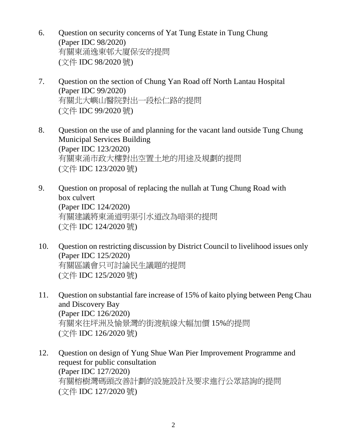- 6. Question on security concerns of Yat Tung Estate in Tung Chung (Paper IDC 98/2020) 有關東涌逸東邨大廈保安的提問 (文件 IDC 98/2020 號)
- 7. Question on the section of Chung Yan Road off North Lantau Hospital (Paper IDC 99/2020) 有關北大嶼山醫院對出一段松仁路的提問 (文件 IDC 99/2020 號)
- 8. Question on the use of and planning for the vacant land outside Tung Chung Municipal Services Building (Paper IDC 123/2020) 有關東涌市政大樓對出空置土地的用途及規劃的提問 (文件 IDC 123/2020 號)
- 9. Question on proposal of replacing the nullah at Tung Chung Road with box culvert (Paper IDC 124/2020) 有關建議將東涌道明渠引水道改為暗渠的提問 (文件 IDC 124/2020 號)
- 10. Question on restricting discussion by District Council to livelihood issues only (Paper IDC 125/2020) 有關區議會只可討論民生議題的提問 (文件 IDC 125/2020 號)
- 11. Question on substantial fare increase of 15% of kaito plying between Peng Chau and Discovery Bay (Paper IDC 126/2020) 有關來往坪洲及愉景灣的街渡航線大幅加價 15%的提問 (文件 IDC 126/2020 號)
- 12. Question on design of Yung Shue Wan Pier Improvement Programme and request for public consultation (Paper IDC 127/2020) 有關榕樹灣碼頭改善計劃的設施設計及要求進行公眾諮詢的提問 (文件 IDC 127/2020 號)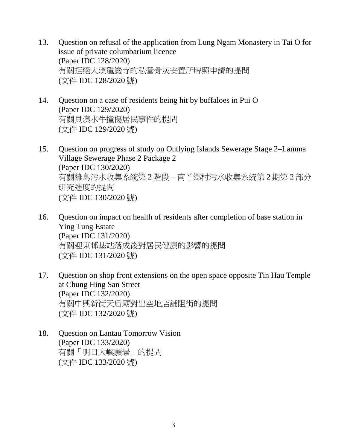- 13. Question on refusal of the application from Lung Ngam Monastery in Tai O for issue of private columbarium licence (Paper IDC 128/2020) 有關拒絕大澳龍巖寺的私營骨灰安置所牌照申請的提問 (文件 IDC 128/2020 號)
- 14. Question on a case of residents being hit by buffaloes in Pui O (Paper IDC 129/2020) 有關貝澳水牛撞傷居民事件的提問 (文件 IDC 129/2020 號)
- 15. Question on progress of study on Outlying Islands Sewerage Stage 2–Lamma Village Sewerage Phase 2 Package 2 (Paper IDC 130/2020) 有關離島污水收集系統第 2 階段-南丫鄉村污水收集系統第 2 期第 2 部分 研究進度的提問 (文件 IDC 130/2020 號)
- 16. Question on impact on health of residents after completion of base station in Ying Tung Estate (Paper IDC 131/2020) 有關迎東邨基站落成後對居民健康的影響的提問 (文件 IDC 131/2020 號)
- 17. Question on shop front extensions on the open space opposite Tin Hau Temple at Chung Hing San Street (Paper IDC 132/2020) 有關中興新街天后廟對出空地店舖阻街的提問 (文件 IDC 132/2020 號)
- 18. Question on Lantau Tomorrow Vision (Paper IDC 133/2020) 有關「明日大嶼願景」的提問 (文件 IDC 133/2020 號)